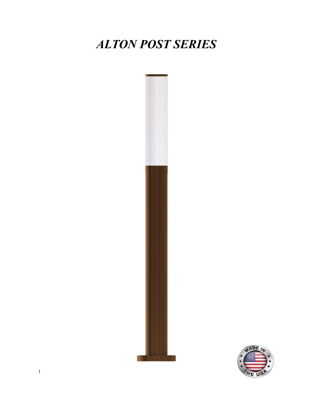# ALTON POST SERIES



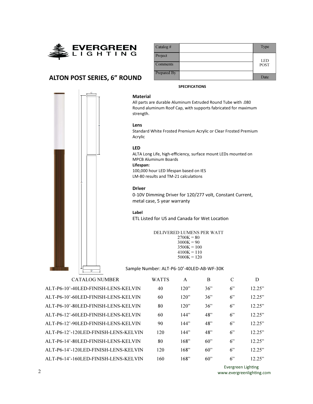

## ALTON POST SERIES, 6" ROUND



All parts are durable Aluminum Extruded Round Tube with .080 Round aluminum Roof Cap, with supports fabricated for maximum strength.

SPECIFICATIONS

#### Lens

Material

Standard White Frosted Premium Acrylic or Clear Frosted Premium Acrylic

#### LED

ALTA Long Life, high-efficiency, surface mount LEDs mounted on MPCB Aluminum Boards Lifespan:

100,000 hour LED lifespan based on IES LM-80 results and TM-21 calculations

#### Driver

0-10V Dimming Driver for 120/277 volt, Constant Current, metal case, 5 year warranty

#### Label

ETL Listed for US and Canada for Wet Location

DELIVERED LUMENS PER WATT

 $2700K = 80$  $3000K = 90$  $3500K = 100$  $4100K = 110$  $5000K = 120$ 

Sample Number: ALT-P6-10'-40LED-AB-WF-30K

CATALOG NUMBER W ALT-P6-10'-40LED-FINISH-LENS-KELVIN ALT-P6-10'-60LED-FINISH-LENS-KELVIN ALT-P6-10'-80LED-FINISH-LENS-KELVIN ALT-P6-12'-60LED-FINISH-LENS-KELVIN ALT-P6-12'-90LED-FINISH-LENS-KELVIN ALT-P6-12'-120LED-FINISH-LENS-KELVIN ALT-P6-14'-80LED-FINISH-LENS-KELVIN ALT-P6-14'-120LED-FINISH-LENS-KELVIN ALT-P6-14'-160LED-FINISH-LENS-KELVIN

| VATTS | A    | B   | C | D      |
|-------|------|-----|---|--------|
| 40    | 120" | 36" | 6 | 12.25" |
| 60    | 120" | 36" | 6 | 12.25" |
| 80    | 120" | 36" | 6 | 12.25" |
| 60    | 144" | 48" | 6 | 12.25" |
| 90    | 144" | 48" | 6 | 12.25" |
| 120   | 144" | 48" | 6 | 12.25" |
| 80    | 168" | 60" | 6 | 12.25" |
| 120   | 168" | 60" | 6 | 12.25" |
| 160   | 168" | 60" | 6 | 12.25" |

Evergreen Lighting www.evergreenlighting.com

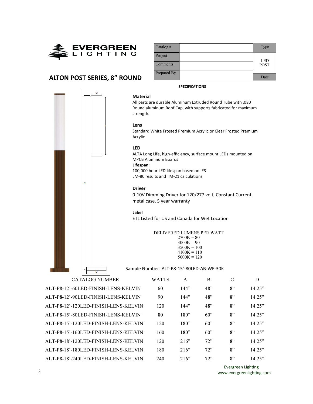

| $\text{Catalog}$ # | Type        |
|--------------------|-------------|
| Project            | <b>LED</b>  |
| <b>Comments</b>    | <b>POST</b> |
| Prepared By        | Date        |

## ALTON POST SERIES, 8" ROUND



#### SPECIFICATIONS

All parts are durable Aluminum Extruded Round Tube with .080 Round aluminum Roof Cap, with supports fabricated for maximum strength.

#### Lens

Material

Standard White Frosted Premium Acrylic or Clear Frosted Premium Acrylic

#### LED

ALTA Long Life, high-efficiency, surface mount LEDs mounted on MPCB Aluminum Boards

### Lifespan:

100,000 hour LED lifespan based on IES LM-80 results and TM-21 calculations

#### Driver

0-10V Dimming Driver for 120/277 volt, Constant Current, metal case, 5 year warranty

#### Label

ETL Listed for US and Canada for Wet Location

#### DELIVERED LUMENS PER WATT

 $2700K = 80$  $3000K = 90$  $3500K = 100$  $4100K = 110$  $5000K = 120$ 

Sample Number: ALT-P8-15'-80LED-AB-WF-30K

ALT-P8-12'-60LED-FINISH-LENS-KELVIN ALT-P8-12'-90LED-FINISH-LENS-KELVIN ALT-P8-12'-120LED-FINISH-LENS-KELVIN ALT-P8-15'-80LED-FINISH-LENS-KELVIN ALT-P8-15'-120LED-FINISH-LENS-KELVIN ALT-P8-15'-160LED-FINISH-LENS-KELVIN ALT-P8-18'-120LED-FINISH-LENS-KELVIN ALT-P8-18'-180LED-FINISH-LENS-KELVIN ALT-P8-18'-240LED-FINISH-LENS-KELVIN

| VATTS | A    | B   | $\mathcal{C}$ | D      |
|-------|------|-----|---------------|--------|
| 60    | 144" | 48" | 8"            | 14.25" |
| 90    | 144" | 48" | 8"            | 14.25" |
| 120   | 144" | 48" | 8"            | 14.25" |
| 80    | 180" | 60" | 8"            | 14.25" |
| 120   | 180" | 60" | 8"            | 14.25" |
| 160   | 180" | 60" | 8"            | 14.25" |
| 120   | 216" | 72" | 8"            | 14.25" |
| 180   | 216" | 72" | 8"            | 14.25" |
| 240   | 216" | 72  | $R$ "         | 14.25" |

Evergreen Lighting www.evergreenlighting.com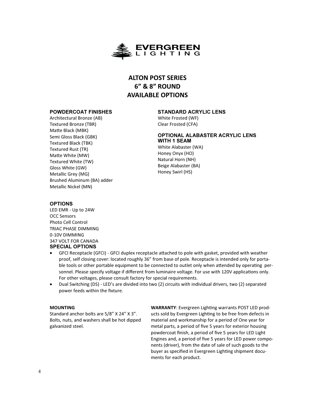

## ALTON POST SERIES 6" & 8" ROUND AVAILABLE OPTIONS

#### POWDERCOAT FINISHES

Architectural Bronze (AB) Textured Bronze (TBR) Matte Black (MBK) Semi Gloss Black (GBK) Textured Black (TBK) Textured Rust (TR) Matte White (MW) Textured White (TW) Gloss White (GW) Metallic Grey (MG) Brushed Aluminum (BA) adder Metallic Nickel (MN)

#### STANDARD ACRYLIC LENS

White Frosted (WF) Clear Frosted (CFA)

## OPTIONAL ALABASTER ACRYLIC LENS WITH 1 SEAM

White Alabaster (WA) Honey Onyx (HO) Natural Horn (NH) Beige Alabaster (BA) Honey Swirl (HS)

#### OPTIONS

LED EMR - Up to 24W OCC Sensors Photo Cell Control TRIAC PHASE DIMMING 0-10V DIMMING 347 VOLT FOR CANADA SPECIAL OPTIONS

- GFCI Receptacle (GFCI) GFCI duplex receptacle attached to pole with gasket, provided with weather proof, self closing cover: located roughly 36" from base of pole. Receptacle is intended only for portable tools or other portable equipment to be connected to outlet only when attended by operating personnel. Please specify voltage if different from luminaire voltage. For use with 120V applications only. For other voltages, please consult factory for special requirements.
- Dual Switching (DS) LED's are divided into two (2) circuits with individual drivers, two (2) separated power feeds within the fixture.

#### MOUNTING

Standard anchor bolts are 5/8" X 24" X 3". Bolts, nuts, and washers shall be hot dipped galvanized steel.

WARRANTY: Evergreen Lighting warrants POST LED products sold by Evergreen Lighting to be free from defects in material and workmanship for a period of One year for metal parts, a period of five 5 years for exterior housing powdercoat finish, a period of five 5 years for LED Light Engines and, a period of five 5 years for LED power components (driver), from the date of sale of such goods to the buyer as specified in Evergreen Lighting shipment documents for each product.